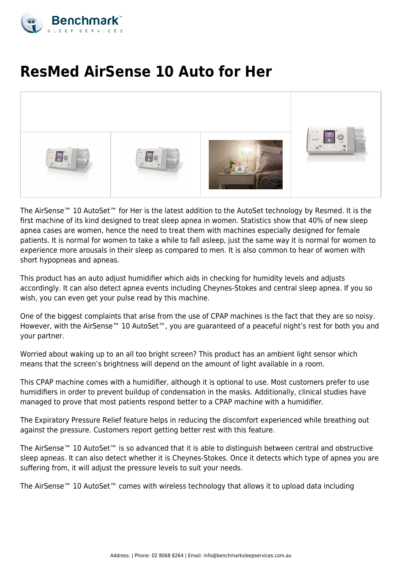

## **ResMed AirSense 10 Auto for Her**



The AirSense™ 10 AutoSet™ for Her is the latest addition to the AutoSet technology by Resmed. It is the first machine of its kind designed to treat sleep apnea in women. Statistics show that 40% of new sleep apnea cases are women, hence the need to treat them with machines especially designed for female patients. It is normal for women to take a while to fall asleep, just the same way it is normal for women to experience more arousals in their sleep as compared to men. It is also common to hear of women with short hypopneas and apneas.

This product has an auto adjust humidifier which aids in checking for humidity levels and adjusts accordingly. It can also detect apnea events including Cheynes-Stokes and central sleep apnea. If you so wish, you can even get your pulse read by this machine.

One of the biggest complaints that arise from the use of CPAP machines is the fact that they are so noisy. However, with the AirSense™ 10 AutoSet™, you are guaranteed of a peaceful night's rest for both you and your partner.

Worried about waking up to an all too bright screen? This product has an ambient light sensor which means that the screen's brightness will depend on the amount of light available in a room.

This CPAP machine comes with a humidifier, although it is optional to use. Most customers prefer to use humidifiers in order to prevent buildup of condensation in the masks. Additionally, clinical studies have managed to prove that most patients respond better to a CPAP machine with a humidifier.

The Expiratory Pressure Relief feature helps in reducing the discomfort experienced while breathing out against the pressure. Customers report getting better rest with this feature.

The AirSense™ 10 AutoSet™ is so advanced that it is able to distinguish between central and obstructive sleep apneas. It can also detect whether it is Cheynes-Stokes. Once it detects which type of apnea you are suffering from, it will adjust the pressure levels to suit your needs.

The AirSense™ 10 AutoSet™ comes with wireless technology that allows it to upload data including